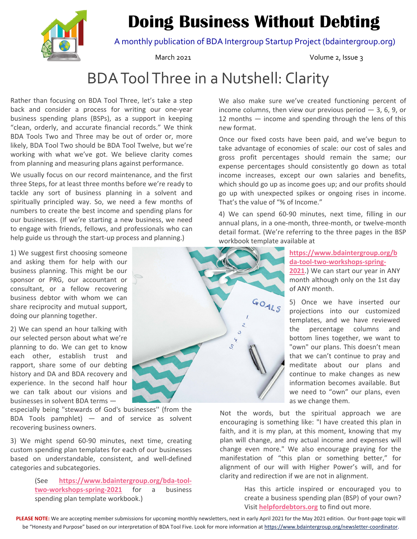# **Doing Business Without Debting**



A monthly publication of BDA Intergroup Startup Project (bdaintergroup.org)

March 2021 Volume 2, Issue 3

# BDAToolThree in a Nutshell: Clarity

Rather than focusing on BDA Tool Three, let's take a step back and consider a process for writing our one‐year business spending plans (BSPs), as a support in keeping "clean, orderly, and accurate financial records." We think BDA Tools Two and Three may be out of order or, more likely, BDA Tool Two should be BDA Tool Twelve, but we're working with what we've got. We believe clarity comes from planning and measuring plans against performance.

We usually focus on our record maintenance, and the first three Steps, for at least three months before we're ready to tackle any sort of business planning in a solvent and spiritually principled way. So, we need a few months of numbers to create the best income and spending plans for our businesses. (If we're starting a new business, we need to engage with friends, fellows, and professionals who can help guide us through the start-up process and planning.)

1) We suggest first choosing someone and asking them for help with our business planning. This might be our sponsor or PRG, our accountant or consultant, or a fellow recovering business debtor with whom we can share reciprocity and mutual support, doing our planning together.

2) We can spend an hour talking with our selected person about what we're planning to do. We can get to know each other, establish trust and rapport, share some of our debting history and DA and BDA recovery and experience. In the second half hour we can talk about our visions and businesses in solvent BDA terms —

especially being "stewards of God's businesses'' (from the BDA Tools pamphlet) — and of service as solvent recovering business owners.

3) We might spend 60‐90 minutes, next time, creating custom spending plan templates for each of our businesses based on understandable, consistent, and well‐defined categories and subcategories.

> (See **https://www.bdaintergroup.org/bda‐tool‐ two‐workshops‐spring‐2021** for a business spending plan template workbook.)

GOALS 3  $\mathcal{S}$ 

We also make sure we've created functioning percent of income columns, then view our previous period  $-3$ , 6, 9, or 12 months — income and spending through the lens of this new format.

Once our fixed costs have been paid, and we've begun to take advantage of economies of scale: our cost of sales and gross profit percentages should remain the same; our expense percentages should consistently go down as total income increases, except our own salaries and benefits, which should go up as income goes up; and our profits should go up with unexpected spikes or ongoing rises in income. That's the value of "% of Income."

4) We can spend 60‐90 minutes, next time, filling in our annual plans, in a one‐month, three‐month, or twelve‐month detail format. (We're referring to the three pages in the BSP workbook template available at

> **https://www.bdaintergroup.org/b da‐tool‐two‐workshops‐spring‐ 2021**.) We can start our year in ANY month although only on the 1st day

of ANY month. 5) Once we have inserted our projections into our customized templates, and we have reviewed the percentage columns and bottom lines together, we want to "own" our plans. This doesn't mean that we can't continue to pray and meditate about our plans and continue to make changes as new information becomes available. But we need to "own" our plans, even as we change them.

Not the words, but the spiritual approach we are encouraging is something like: "I have created this plan in faith, and it is my plan, at this moment, knowing that my plan will change, and my actual income and expenses will change even more." We also encourage praying for the manifestation of "this plan or something better," for alignment of our will with Higher Power's will, and for clarity and redirection if we are not in alignment.

> Has this article inspired or encouraged you to create a business spending plan (BSP) of your own? Visit **helpfordebtors.org** to find out more.

PLEASE NOTE: We are accepting member submissions for upcoming monthly newsletters, next in early April 2021 for the May 2021 edition. Our front-page topic will be "Honesty and Purpose" based on our interpretation of BDA Tool Five. Look for more information at https://www.bdaintergroup.org/newsletter-coordinator.